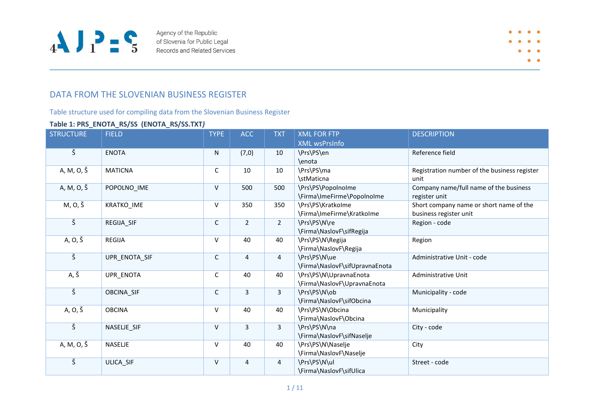

Agency of the Republic of Slovenia for Public Legal Records and Related Services

## DATA FROM THE SLOVENIAN BUSINESS REGISTER

Table structure used for compiling data from the Slovenian Business Register

### **Table 1: PRS\_ENOTA\_RS/SS (ENOTA\_RS/SS.TXT***)*

| <b>STRUCTURE</b>     | <b>FIELD</b>      | <b>TYPE</b> | <b>ACC</b>     | <b>TXT</b>     | <b>XML FOR FTP</b>             | <b>DESCRIPTION</b>                           |
|----------------------|-------------------|-------------|----------------|----------------|--------------------------------|----------------------------------------------|
|                      |                   |             |                |                | <b>XML wsPrsInfo</b>           |                                              |
| $\check{\mathsf{S}}$ | <b>ENOTA</b>      | N           | (7,0)          | 10             | \Prs\PS\en                     | Reference field                              |
|                      |                   |             |                |                | \enota                         |                                              |
| A, M, O, Š           | <b>MATICNA</b>    | $\mathsf C$ | 10             | 10             | \Prs\PS\ma                     | Registration number of the business register |
|                      |                   |             |                |                | \stMaticna                     | unit                                         |
| A, M, O, Š           | POPOLNO_IME       | V           | 500            | 500            | \Prs\PS\PopolnoIme             | Company name/full name of the business       |
|                      |                   |             |                |                | \Firma\ImeFirme\PopolnoIme     | register unit                                |
| M, O, Š              | KRATKO_IME        | V           | 350            | 350            | \Prs\PS\KratkoIme              | Short company name or short name of the      |
|                      |                   |             |                |                | \Firma\ImeFirme\KratkoIme      | business register unit                       |
| $\check{\varsigma}$  | REGIJA SIF        | C           | $\overline{2}$ | $\overline{2}$ | \Prs\PS\N\re                   | Region - code                                |
|                      |                   |             |                |                | \Firma\NaslovF\sifRegija       |                                              |
| A, O, Š              | <b>REGIJA</b>     | V           | 40             | 40             | \Prs\PS\N\Regija               | Region                                       |
|                      |                   |             |                |                | \Firma\NaslovF\Regija          |                                              |
| $\check{\mathsf{S}}$ | UPR ENOTA SIF     | C           | 4              | 4              | \Prs\PS\N\ue                   | Administrative Unit - code                   |
|                      |                   |             |                |                | \Firma\NaslovF\sifUpravnaEnota |                                              |
| $A, \check{S}$       | <b>UPR ENOTA</b>  | $\mathsf C$ | 40             | 40             | \Prs\PS\N\UpravnaEnota         | Administrative Unit                          |
|                      |                   |             |                |                | \Firma\NaslovF\UpravnaEnota    |                                              |
| $\check{\varsigma}$  | <b>OBCINA SIF</b> | C           | 3              | $\overline{3}$ | \Prs\PS\N\ob                   | Municipality - code                          |
|                      |                   |             |                |                | \Firma\NaslovF\sifObcina       |                                              |
| A, O, Š              | <b>OBCINA</b>     | v           | 40             | 40             | \Prs\PS\N\Obcina               | Municipality                                 |
|                      |                   |             |                |                | \Firma\NaslovF\Obcina          |                                              |
| $\check{\varsigma}$  | NASELJE SIF       | $\vee$      | 3              | $\overline{3}$ | \Prs\PS\N\na                   | City - code                                  |
|                      |                   |             |                |                | \Firma\NaslovF\sifNaselje      |                                              |
| A, M, O, Š           | <b>NASELJE</b>    | V           | 40             | 40             | \Prs\PS\N\Naselje              | City                                         |
|                      |                   |             |                |                | \Firma\NaslovF\Naselje         |                                              |
| $\check{\varsigma}$  | ULICA_SIF         | V           | 4              | 4              | \Prs\PS\N\ul                   | Street - code                                |
|                      |                   |             |                |                | \Firma\NaslovF\sifUlica        |                                              |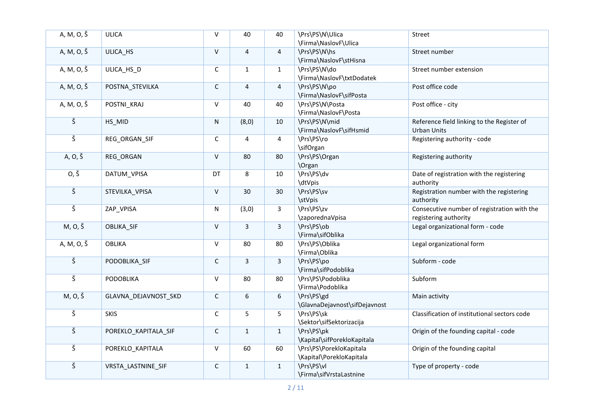| A, M, O, Š           | <b>ULICA</b>         | $\vee$       | 40                      | 40             | \Prs\PS\N\Ulica<br>\Firma\NaslovF\Ulica             | Street                                                               |
|----------------------|----------------------|--------------|-------------------------|----------------|-----------------------------------------------------|----------------------------------------------------------------------|
| A, M, O, Š           | ULICA_HS             | $\mathsf{V}$ | $\overline{4}$          | $\overline{4}$ | \Prs\PS\N\hs<br>\Firma\NaslovF\stHisna              | Street number                                                        |
| A, M, O, Š           | ULICA HS D           | $\mathsf C$  | $\mathbf{1}$            | $\mathbf{1}$   | \Prs\PS\N\do<br>\Firma\NaslovF\txtDodatek           | Street number extension                                              |
| A, M, O, Š           | POSTNA_STEVILKA      | $\mathsf C$  | 4                       | 4              | \Prs\PS\N\po<br>\Firma\NaslovF\sifPosta             | Post office code                                                     |
| A, M, O, Š           | POSTNI_KRAJ          | $\vee$       | 40                      | 40             | \Prs\PS\N\Posta<br>\Firma\NaslovF\Posta             | Post office - city                                                   |
| $\check{\varsigma}$  | HS_MID               | $\mathsf{N}$ | (8, 0)                  | 10             | \Prs\PS\N\mid<br>\Firma\NaslovF\sifHsmid            | Reference field linking to the Register of<br><b>Urban Units</b>     |
| $\check{\varsigma}$  | REG ORGAN SIF        | $\mathsf C$  | 4                       | 4              | \Prs\PS\ro<br>\sifOrgan                             | Registering authority - code                                         |
| A, O, Š              | REG_ORGAN            | $\vee$       | 80                      | 80             | \Prs\PS\Organ<br><b>\Organ</b>                      | Registering authority                                                |
| $0, \check{S}$       | DATUM_VPISA          | DT           | 8                       | 10             | \Prs\PS\dv<br>\dtVpis                               | Date of registration with the registering<br>authority               |
| $\check{\mathsf{S}}$ | STEVILKA VPISA       | $\vee$       | 30                      | 30             | \Prs\PS\sv<br>\stVpis                               | Registration number with the registering<br>authority                |
| $\check{\mathsf{S}}$ | ZAP_VPISA            | N            | (3,0)                   | $\mathbf{3}$   | \Prs\PS\zv<br>\zaporednaVpisa                       | Consecutive number of registration with the<br>registering authority |
| M, 0, Š              | OBLIKA_SIF           | $\vee$       | $\overline{\mathbf{3}}$ | $\overline{3}$ | \Prs\PS\ob<br>\Firma\sifOblika                      | Legal organizational form - code                                     |
| A, M, O, Š           | <b>OBLIKA</b>        | $\mathsf{V}$ | 80                      | 80             | \Prs\PS\Oblika<br>\Firma\Oblika                     | Legal organizational form                                            |
| $\check{\varsigma}$  | PODOBLIKA SIF        | $\mathsf C$  | $\overline{3}$          | $\overline{3}$ | \Prs\PS\po<br>\Firma\sifPodoblika                   | Subform - code                                                       |
| $\check{\mathsf{S}}$ | PODOBLIKA            | $\vee$       | 80                      | 80             | \Prs\PS\Podoblika<br>\Firma\Podoblika               | Subform                                                              |
| M, O, Š              | GLAVNA_DEJAVNOST_SKD | $\mathsf C$  | 6                       | 6              | \Prs\PS\gd<br>\GlavnaDejavnost\sifDejavnost         | Main activity                                                        |
| $\check{\mathsf{S}}$ | <b>SKIS</b>          | $\mathsf C$  | 5                       | 5              | \Prs\PS\sk<br>\Sektor\sifSektorizacija              | Classification of institutional sectors code                         |
| $\check{\mathsf{S}}$ | POREKLO_KAPITALA_SIF | $\mathsf C$  | $\mathbf{1}$            | $\mathbf{1}$   | \Prs\PS\pk<br>\Kapital\sifPorekloKapitala           | Origin of the founding capital - code                                |
| $\check{\textsf{s}}$ | POREKLO_KAPITALA     | $\sf V$      | 60                      | 60             | \Prs\PS\PorekloKapitala<br>\Kapital\PorekloKapitala | Origin of the founding capital                                       |
| $\check{\mathsf{S}}$ | VRSTA_LASTNINE_SIF   | $\mathsf C$  | $\mathbf{1}$            | $\mathbf{1}$   | \Prs\PS\vl<br>\Firma\sifVrstaLastnine               | Type of property - code                                              |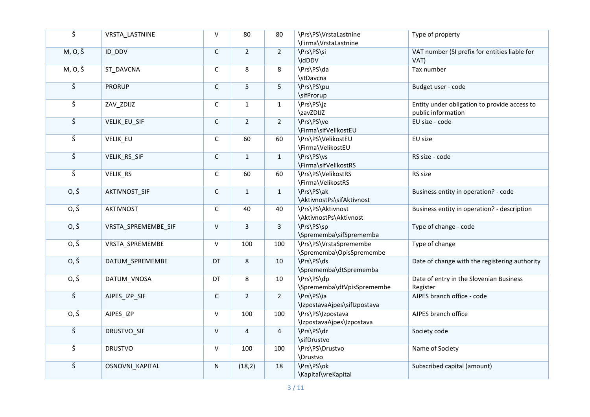| $\overline{\check{\mathsf{S}}}$ | VRSTA_LASTNINE         | $\mathsf{V}$ | 80             | 80             | \Prs\PS\VrstaLastnine<br>\Firma\VrstaLastnine      | Type of property                                                   |
|---------------------------------|------------------------|--------------|----------------|----------------|----------------------------------------------------|--------------------------------------------------------------------|
| M, 0, Š                         | ID_DDV                 | $\mathsf C$  | 2 <sup>1</sup> | $2^{\circ}$    | \Prs\PS\si<br>\idDDV                               | VAT number (SI prefix for entities liable for<br>VAT)              |
| $M, O, \check{S}$               | ST_DAVCNA              | $\mathsf C$  | 8              | 8              | \Prs\PS\da<br>\stDavcna                            | Tax number                                                         |
| $\check{\mathsf{S}}$            | <b>PRORUP</b>          | $\mathsf C$  | 5              | 5              | \Prs\PS\pu<br>\sifProrup                           | Budget user - code                                                 |
| $\check{\mathsf{S}}$            | ZAV_ZDIJZ              | $\mathsf C$  | $\mathbf{1}$   | $\mathbf{1}$   | \Prs\PS\jz<br>\zavZDIJZ                            | Entity under obligation to provide access to<br>public information |
| $\check{\varsigma}$             | VELIK_EU_SIF           | $\mathsf C$  | $2^{\circ}$    | 2 <sup>1</sup> | \Prs\PS\ve<br>\Firma\sifVelikostEU                 | EU size - code                                                     |
| $\check{\mathsf{S}}$            | <b>VELIK EU</b>        | $\mathsf C$  | 60             | 60             | \Prs\PS\VelikostEU<br>\Firma\VelikostEU            | EU size                                                            |
| $\check{\mathsf{S}}$            | VELIK_RS_SIF           | $\mathsf C$  | $\mathbf{1}$   | $\mathbf{1}$   | \Prs\PS\vs<br>\Firma\sifVelikostRS                 | RS size - code                                                     |
| $\check{\mathsf{S}}$            | VELIK_RS               | $\mathsf C$  | 60             | 60             | \Prs\PS\VelikostRS<br>\Firma\VelikostRS            | RS size                                                            |
| $0, \check{S}$                  | AKTIVNOST_SIF          | $\mathsf C$  | $\mathbf{1}$   | $\mathbf 1$    | \Prs\PS\ak<br>\AktivnostPs\sifAktivnost            | Business entity in operation? - code                               |
| $0, \check{S}$                  | <b>AKTIVNOST</b>       | $\mathsf C$  | 40             | 40             | \Prs\PS\Aktivnost<br>\AktivnostPs\Aktivnost        | Business entity in operation? - description                        |
| $0, \check{S}$                  | VRSTA SPREMEMBE SIF    | $\mathsf{V}$ | $\mathbf{3}$   | $\overline{3}$ | \Prs\PS\sp<br>\Sprememba\sifSprememba              | Type of change - code                                              |
| $0, \check{S}$                  | VRSTA SPREMEMBE        | $\vee$       | 100            | 100            | \Prs\PS\VrstaSpremembe<br>\Sprememba\OpisSpremembe | Type of change                                                     |
| $0, \check{S}$                  | DATUM SPREMEMBE        | DT           | 8              | 10             | \Prs\PS\ds<br>\Sprememba\dtSprememba               | Date of change with the registering authority                      |
| $0, \check{S}$                  | DATUM_VNOSA            | DT           | 8              | 10             | \Prs\PS\dp<br>\Sprememba\dtVpisSpremembe           | Date of entry in the Slovenian Business<br>Register                |
| $\check{\mathsf{S}}$            | AJPES_IZP_SIF          | $\mathsf C$  | $2^{\circ}$    | $\overline{2}$ | \Prs\PS\ia<br>\IzpostavaAjpes\sifIzpostava         | AJPES branch office - code                                         |
| $0, \check{S}$                  | AJPES_IZP              | $\vee$       | 100            | 100            | \Prs\PS\Izpostava<br>\IzpostavaAjpes\Izpostava     | AJPES branch office                                                |
| $\check{\varsigma}$             | DRUSTVO_SIF            | $\vee$       | $\overline{4}$ | $\overline{4}$ | \Prs\PS\dr<br>\sifDrustvo                          | Society code                                                       |
| $\check{\mathsf{S}}$            | <b>DRUSTVO</b>         | $\vee$       | 100            | 100            | \Prs\PS\Drustvo<br>\Drustvo                        | Name of Society                                                    |
| $\check{\mathsf{S}}$            | <b>OSNOVNI KAPITAL</b> | N            | (18, 2)        | 18             | \Prs\PS\ok<br>\Kapital\vreKapital                  | Subscribed capital (amount)                                        |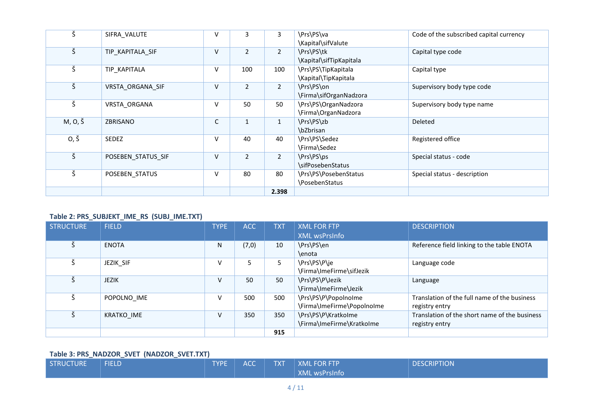| $\check{\mathsf{S}}$ | SIFRA_VALUTE       | V      | 3              | 3              | \Prs\PS\va<br>\Kapital\sifValute            | Code of the subscribed capital currency |
|----------------------|--------------------|--------|----------------|----------------|---------------------------------------------|-----------------------------------------|
| Š                    | TIP KAPITALA SIF   | V      | $\overline{2}$ | $\overline{2}$ | \Prs\PS\tk<br>\Kapital\sifTipKapitala       | Capital type code                       |
| $\check{\varsigma}$  | TIP_KAPITALA       | $\vee$ | 100            | 100            | \Prs\PS\TipKapitala<br>\Kapital\TipKapitala | Capital type                            |
| Š                    | VRSTA ORGANA SIF   | V      | $\overline{2}$ | $\overline{2}$ | \Prs\PS\on<br>\Firma\sifOrganNadzora        | Supervisory body type code              |
| $\check{\varsigma}$  | VRSTA_ORGANA       | $\vee$ | 50             | 50             | \Prs\PS\OrganNadzora<br>\Firma\OrganNadzora | Supervisory body type name              |
| M, O, Š              | ZBRISANO           | C      | $\mathbf{1}$   | $\mathbf{1}$   | \Prs\PS\zb<br>\bZbrisan                     | Deleted                                 |
| 0, Š                 | <b>SEDEZ</b>       | $\vee$ | 40             | 40             | \Prs\PS\Sedez<br>\Firma\Sedez               | Registered office                       |
| $\check{\mathsf{S}}$ | POSEBEN STATUS SIF | v      | $\overline{2}$ | $\overline{2}$ | \Prs\PS\ps<br>\sifPosebenStatus             | Special status - code                   |
| $\check{\varsigma}$  | POSEBEN STATUS     | V      | 80             | 80             | \Prs\PS\PosebenStatus<br>\PosebenStatus     | Special status - description            |
|                      |                    |        |                | 2.398          |                                             |                                         |

### **Table 2: PRS\_SUBJEKT\_IME\_RS (SUBJ\_IME.TXT)**

| <b>STRUCTURE</b> | <b>FIELD</b>      | <b>TYPE</b> | <b>ACC</b> | <b>TXT</b> | <b>XML FOR FTP</b>         | <b>DESCRIPTION</b>                            |
|------------------|-------------------|-------------|------------|------------|----------------------------|-----------------------------------------------|
|                  |                   |             |            |            | <b>XML wsPrsInfo</b>       |                                               |
|                  | <b>ENOTA</b>      | N           | (7,0)      | 10         | \Prs\PS\en                 | Reference field linking to the table ENOTA    |
|                  |                   |             |            |            | \enota                     |                                               |
|                  | JEZIK SIF         | V           | 5          |            | \Prs\PS\P\je               | Language code                                 |
|                  |                   |             |            |            | \Firma\ImeFirme\sifJezik   |                                               |
|                  | <b>JEZIK</b>      | V           | 50         | 50         | \Prs\PS\P\Jezik            | Language                                      |
|                  |                   |             |            |            | \Firma\ImeFirme\Jezik      |                                               |
|                  | POPOLNO_IME       | V           | 500        | 500        | \Prs\PS\P\PopolnoIme       | Translation of the full name of the business  |
|                  |                   |             |            |            | \Firma\ImeFirme\PopolnoIme | registry entry                                |
|                  | <b>KRATKO IME</b> | V           | 350        | 350        | \Prs\PS\P\KratkoIme        | Translation of the short name of the business |
|                  |                   |             |            |            | \Firma\ImeFirme\KratkoIme  | registry entry                                |
|                  |                   |             |            | 915        |                            |                                               |

## **Table 3: PRS\_NADZOR\_SVET (NADZOR\_SVET.TXT)**

| STRUCTURE | <b>FIELD</b> | <b>TYPE</b> | <b>ACC</b> | <b>TXT</b> | <b>XML FOR FTP</b>   | <b>DESCRIPTION</b> |
|-----------|--------------|-------------|------------|------------|----------------------|--------------------|
|           |              |             |            |            | <b>XML wsPrsInfo</b> |                    |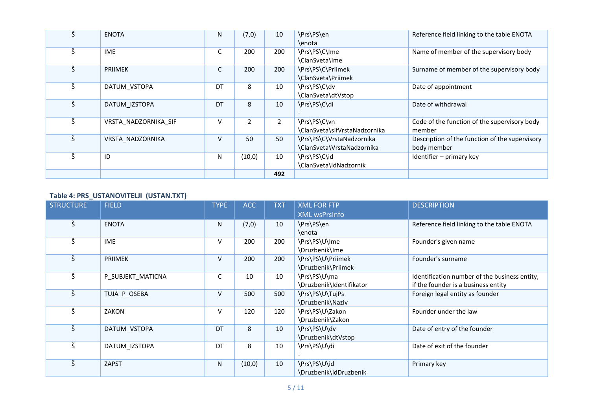| Š | <b>ENOTA</b>         | N  | (7,0)          | 10             | \Prs\PS\en                    | Reference field linking to the table ENOTA     |
|---|----------------------|----|----------------|----------------|-------------------------------|------------------------------------------------|
|   |                      |    |                |                | \enota                        |                                                |
| Š | <b>IME</b>           | С  | 200            | 200            | \Prs\PS\C\Ime                 | Name of member of the supervisory body         |
|   |                      |    |                |                | \ClanSveta\Ime                |                                                |
| Š | <b>PRIIMEK</b>       | C  | 200            | 200            | \Prs\PS\C\Priimek             | Surname of member of the supervisory body      |
|   |                      |    |                |                | \ClanSveta\Priimek            |                                                |
| Š | DATUM VSTOPA         | DT | 8              | 10             | \Prs\PS\C\dv                  | Date of appointment                            |
|   |                      |    |                |                | \ClanSveta\dtVstop            |                                                |
| Š | DATUM IZSTOPA        | DT | 8              | 10             | \Prs\PS\C\di                  | Date of withdrawal                             |
|   |                      |    |                |                |                               |                                                |
| Š | VRSTA NADZORNIKA SIF | v  | $\overline{2}$ | $\overline{2}$ | \Prs\PS\C\vn                  | Code of the function of the supervisory body   |
|   |                      |    |                |                | \ClanSveta\sifVrstaNadzornika | member                                         |
| Š | VRSTA NADZORNIKA     | v  | 50             | 50             | \Prs\PS\C\VrstaNadzornika     | Description of the function of the supervisory |
|   |                      |    |                |                | \ClanSveta\VrstaNadzornika    | body member                                    |
|   | ID                   | N  | (10, 0)        | 10             | \Prs\PS\C\id                  | Identifier - primary key                       |
|   |                      |    |                |                | \ClanSveta\idNadzornik        |                                                |
|   |                      |    |                | 492            |                               |                                                |

## **Table 4: PRS\_USTANOVITELJI (USTAN.TXT)**

| <b>STRUCTURE</b>     | <b>FIELD</b>      | <b>TYPE</b> | <b>ACC</b> | <b>TXT</b> | <b>XML FOR FTP</b><br><b>XML wsPrsInfo</b> | <b>DESCRIPTION</b>                                                                   |
|----------------------|-------------------|-------------|------------|------------|--------------------------------------------|--------------------------------------------------------------------------------------|
| Š                    | <b>ENOTA</b>      | N           | (7,0)      | 10         | \Prs\PS\en<br>\enota                       | Reference field linking to the table ENOTA                                           |
| Š                    | <b>IME</b>        | V           | 200        | 200        | \Prs\PS\U\Ime<br>\Druzbenik\Ime            | Founder's given name                                                                 |
| Š                    | <b>PRIIMEK</b>    | V           | 200        | 200        | \Prs\PS\U\Priimek<br>\Druzbenik\Priimek    | Founder's surname                                                                    |
| $\check{\mathsf{S}}$ | P_SUBJEKT_MATICNA | C           | 10         | 10         | \Prs\PS\U\ma<br>\Druzbenik\Identifikator   | Identification number of the business entity,<br>if the founder is a business entity |
| $\check{\mathsf{S}}$ | TUJA_P_OSEBA      | V           | 500        | 500        | \Prs\PS\U\TujPs<br>\Druzbenik\Naziv        | Foreign legal entity as founder                                                      |
| Š                    | ZAKON             | V           | 120        | 120        | \Prs\PS\U\Zakon<br>\Druzbenik\Zakon        | Founder under the law                                                                |
| $\check{\varsigma}$  | DATUM_VSTOPA      | DT          | 8          | 10         | \Prs\PS\U\dv<br>\Druzbenik\dtVstop         | Date of entry of the founder                                                         |
| Š                    | DATUM IZSTOPA     | DT          | 8          | 10         | \Prs\PS\U\di                               | Date of exit of the founder                                                          |
| Š                    | ZAPST             | N           | (10, 0)    | 10         | \Prs\PS\U\id<br>\Druzbenik\idDruzbenik     | Primary key                                                                          |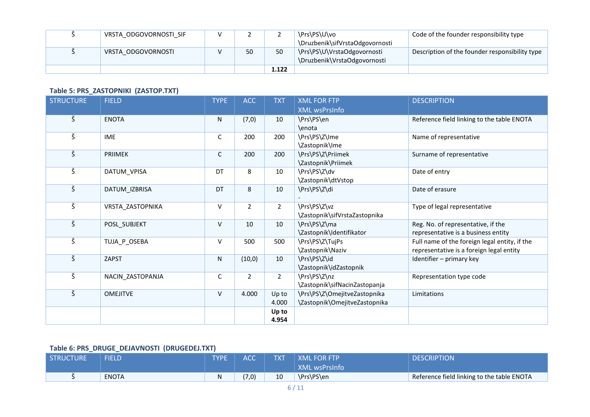| VRSTA ODGOVORNOSTI SIF | <u>.</u> |       | \Prs\PS\U\vo                                                | Code of the founder responsibility type        |
|------------------------|----------|-------|-------------------------------------------------------------|------------------------------------------------|
|                        |          |       | \Druzbenik\sifVrstaOdgovornosti                             |                                                |
| VRSTA ODGOVORNOSTI     | 50       | 50    | \Prs\PS\U\VrstaOdgovornosti<br>\Druzbenik\VrstaOdgovornosti | Description of the founder responsibility type |
|                        |          | 1.122 |                                                             |                                                |

## **Table 5: PRS\_ZASTOPNIKI (ZASTOP.TXT)**

| <b>STRUCTURE</b>     | <b>FIELD</b>     | <b>TYPE</b> | <b>ACC</b>     | <b>TXT</b>     | <b>XML FOR FTP</b>            | <b>DESCRIPTION</b>                            |
|----------------------|------------------|-------------|----------------|----------------|-------------------------------|-----------------------------------------------|
|                      |                  |             |                |                | <b>XML wsPrsInfo</b>          |                                               |
| Š                    | <b>ENOTA</b>     | N           | (7,0)          | 10             | \Prs\PS\en                    | Reference field linking to the table ENOTA    |
|                      |                  |             |                |                | \enota                        |                                               |
| $\check{\varsigma}$  | <b>IME</b>       | C           | 200            | 200            | \Prs\PS\Z\Ime                 | Name of representative                        |
|                      |                  |             |                |                | \Zastopnik\Ime                |                                               |
| $\check{\varsigma}$  | <b>PRIIMEK</b>   | C           | 200            | 200            | \Prs\PS\Z\Priimek             | Surname of representative                     |
|                      |                  |             |                |                | \Zastopnik\Priimek            |                                               |
| $\check{\varsigma}$  | DATUM_VPISA      | DT          | 8              | 10             | \Prs\PS\Z\dv                  | Date of entry                                 |
|                      |                  |             |                |                | \Zastopnik\dtVstop            |                                               |
| Š                    | DATUM_IZBRISA    | DT          | 8              | 10             | \Prs\PS\Z\di                  | Date of erasure                               |
|                      |                  |             |                |                |                               |                                               |
| $\check{\varsigma}$  | VRSTA ZASTOPNIKA | V           | $\overline{2}$ | $\overline{2}$ | \Prs\PS\Z\vz                  | Type of legal representative                  |
|                      |                  |             |                |                | \Zastopnik\sifVrstaZastopnika |                                               |
| $\check{\varsigma}$  | POSL SUBJEKT     | V           | 10             | 10             | \Prs\PS\Z\ma                  | Reg. No. of representative, if the            |
|                      |                  |             |                |                | \Zastopnik\Identifikator      | representative is a business entity           |
| $\check{\mathsf{S}}$ | TUJA_P_OSEBA     | V           | 500            | 500            | \Prs\PS\Z\TujPs               | Full name of the foreign legal entity, if the |
|                      |                  |             |                |                | \Zastopnik\Naziv              | representative is a foreign legal entity      |
| $\check{\varsigma}$  | <b>ZAPST</b>     | N           | (10, 0)        | 10             | \Prs\PS\Z\id                  | Identifier - primary key                      |
|                      |                  |             |                |                | \Zastopnik\idZastopnik        |                                               |
| $\check{\varsigma}$  | NACIN_ZASTOPANJA | $\mathsf C$ | $\overline{2}$ | $\overline{2}$ | \Prs\PS\Z\nz                  | Representation type code                      |
|                      |                  |             |                |                | \Zastopnik\sifNacinZastopanja |                                               |
| $\check{\mathsf{S}}$ | <b>OMEJITVE</b>  | V           | 4.000          | Up to          | \Prs\PS\Z\OmejitveZastopnika  | Limitations                                   |
|                      |                  |             |                | 4.000          | \Zastopnik\OmejitveZastopnika |                                               |
|                      |                  |             |                | Up to          |                               |                                               |
|                      |                  |             |                | 4.954          |                               |                                               |

# **Table 6: PRS\_DRUGE\_DEJAVNOSTI (DRUGEDEJ.TXT)**

| <b>STRUCTURE</b> | <b>FIFLD</b> | <b>TYPE</b> | <b>ACC</b> | <b>TXT</b> | <b>XML FOR FTP</b><br>XML wsPrsInfo | <b>DESCRIPTION</b>                         |
|------------------|--------------|-------------|------------|------------|-------------------------------------|--------------------------------------------|
|                  | <b>ENOTA</b> |             | (7,0)      | 10         | \Prs\PS\en                          | Reference field linking to the table ENOTA |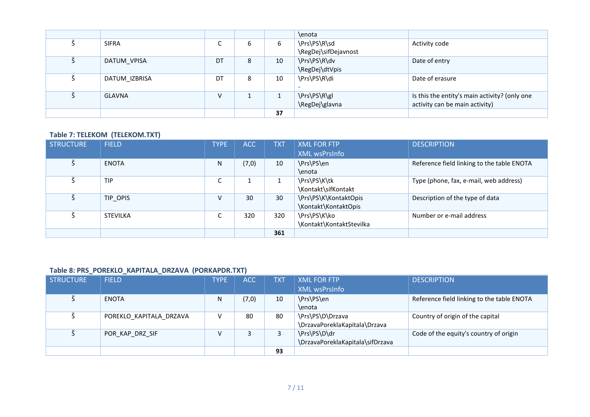|               |        |   |    | \enota               |                                               |
|---------------|--------|---|----|----------------------|-----------------------------------------------|
| <b>SIFRA</b>  | ∽<br>◡ | 6 | 6  | \Prs\PS\R\sd         | Activity code                                 |
|               |        |   |    | \RegDej\sifDejavnost |                                               |
| DATUM_VPISA   | DT     | 8 | 10 | \Prs\PS\R\dv         | Date of entry                                 |
|               |        |   |    | \RegDej\dtVpis       |                                               |
| DATUM_IZBRISA | DT     | 8 | 10 | \Prs\PS\R\di         | Date of erasure                               |
|               |        |   |    |                      |                                               |
| <b>GLAVNA</b> | V      |   |    | \Prs\PS\R\gl         | Is this the entity's main activity? (only one |
|               |        |   |    | \RegDej\glavna       | activity can be main activity)                |
|               |        |   | 37 |                      |                                               |

### **Table 7: TELEKOM (TELEKOM.TXT)**

| <b>STRUCTURE</b> | <b>FIELD</b>    | <b>TYPE</b> | <b>ACC</b> | <b>TXT</b> | <b>XML FOR FTP</b>       | <b>DESCRIPTION</b>                         |
|------------------|-----------------|-------------|------------|------------|--------------------------|--------------------------------------------|
|                  |                 |             |            |            | <b>XML wsPrsInfo</b>     |                                            |
|                  | ENOTA           | N           | (7,0)      | 10         | \Prs\PS\en               | Reference field linking to the table ENOTA |
|                  |                 |             |            |            | \enota                   |                                            |
|                  | <b>TIP</b>      | ◠<br>J      |            |            | \Prs\PS\K\tk             | Type (phone, fax, e-mail, web address)     |
|                  |                 |             |            |            | \Kontakt\sifKontakt      |                                            |
|                  | TIP OPIS        | V           | 30         | 30         | \Prs\PS\K\KontaktOpis    | Description of the type of data            |
|                  |                 |             |            |            | \Kontakt\KontaktOpis     |                                            |
|                  | <b>STEVILKA</b> | ∼<br>J      | 320        | 320        | \Prs\PS\K\ko             | Number or e-mail address                   |
|                  |                 |             |            |            | \Kontakt\KontaktStevilka |                                            |
|                  |                 |             |            | 361        |                          |                                            |

#### **Table 8: PRS\_POREKLO\_KAPITALA\_DRZAVA (PORKAPDR.TXT)**

| STRUCTURE | <b>FIELD</b>            | <b>TYPE</b> | ACC   | <b>TXT</b> | <b>XML FOR FTP</b>               | <b>DESCRIPTION</b>                         |
|-----------|-------------------------|-------------|-------|------------|----------------------------------|--------------------------------------------|
|           |                         |             |       |            | <b>XML wsPrsInfo</b>             |                                            |
|           | <b>ENOTA</b>            | N           | (7,0) | 10         | \Prs\PS\en                       | Reference field linking to the table ENOTA |
|           |                         |             |       |            | \enota                           |                                            |
|           | POREKLO KAPITALA DRZAVA |             | 80    | 80         | \Prs\PS\D\Drzava                 | Country of origin of the capital           |
|           |                         |             |       |            | \DrzavaPoreklaKapitala\Drzava    |                                            |
|           | POR KAP DRZ SIF         |             |       |            | \Prs\PS\D\dr                     | Code of the equity's country of origin     |
|           |                         |             |       |            | \DrzavaPoreklaKapitala\sifDrzava |                                            |
|           |                         |             |       | 93         |                                  |                                            |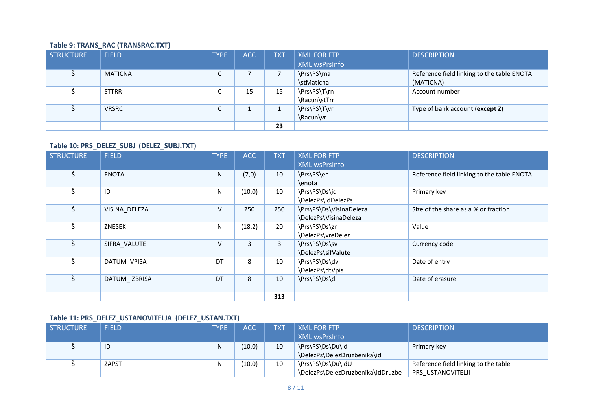## **Table 9: TRANS\_RAC (TRANSRAC.TXT)**

| STRUCTURE | <b>FIELD</b>   | <b>TYPE</b> | ACC      | <b>TXT</b> | <b>XML FOR FTP</b> | <b>DESCRIPTION</b>                         |
|-----------|----------------|-------------|----------|------------|--------------------|--------------------------------------------|
|           |                |             |          |            | XML wsPrsInfo      |                                            |
|           | <b>MATICNA</b> | r<br>◡      |          |            | \Prs\PS\ma         | Reference field linking to the table ENOTA |
|           |                |             |          |            | \stMaticna         | (MATICNA)                                  |
|           | <b>STTRR</b>   | ⌒<br>◡      | 15       | 15         | \Prs\PS\T\rn       | Account number                             |
|           |                |             |          |            | \Racun\stTrr       |                                            |
|           | <b>VRSRC</b>   | r<br>◡      | <b>.</b> |            | \Prs\PS\T\vr       | Type of bank account (except Z)            |
|           |                |             |          |            | \Racun\vr          |                                            |
|           |                |             |          | 23         |                    |                                            |

#### **Table 10: PRS\_DELEZ\_SUBJ (DELEZ\_SUBJ.TXT)**

| <b>STRUCTURE</b> | <b>FIELD</b>  | <b>TYPE</b> | <b>ACC</b> | <b>TXT</b>   | <b>XML FOR FTP</b>      | <b>DESCRIPTION</b>                         |
|------------------|---------------|-------------|------------|--------------|-------------------------|--------------------------------------------|
|                  |               |             |            |              | <b>XML wsPrsInfo</b>    |                                            |
| Š                | <b>ENOTA</b>  | N           | (7,0)      | 10           | \Prs\PS\en              | Reference field linking to the table ENOTA |
|                  |               |             |            |              | \enota                  |                                            |
| Š                | ID            | N           | (10, 0)    | 10           | \Prs\PS\Ds\id           | Primary key                                |
|                  |               |             |            |              | \DelezPs\idDelezPs      |                                            |
| Š                | VISINA_DELEZA | V           | 250        | 250          | \Prs\PS\Ds\VisinaDeleza | Size of the share as a % or fraction       |
|                  |               |             |            |              | \DelezPs\VisinaDeleza   |                                            |
| Š                | ZNESEK        | N           | (18,2)     | 20           | \Prs\PS\Ds\zn           | Value                                      |
|                  |               |             |            |              | \DelezPs\vreDelez       |                                            |
| Š                | SIFRA VALUTE  | V           | 3          | $\mathbf{3}$ | \Prs\PS\Ds\sv           | Currency code                              |
|                  |               |             |            |              | \DelezPs\sifValute      |                                            |
| Š                | DATUM_VPISA   | DT          | 8          | 10           | \Prs\PS\Ds\dv           | Date of entry                              |
|                  |               |             |            |              | \DelezPs\dtVpis         |                                            |
| Š                | DATUM_IZBRISA | DT          | 8          | 10           | \Prs\PS\Ds\di           | Date of erasure                            |
|                  |               |             |            |              |                         |                                            |
|                  |               |             |            | 313          |                         |                                            |

### **Table 11: PRS\_DELEZ\_USTANOVITELJA (DELEZ\_USTAN.TXT)**

| <b>STRUCTURE</b> | <b>FIELD</b> | <b>TYPE</b> | <b>ACC</b> | TXT | <b>XML FOR FTP</b>                | <b>DESCRIPTION</b>                   |
|------------------|--------------|-------------|------------|-----|-----------------------------------|--------------------------------------|
|                  |              |             |            |     | XML wsPrsInfo                     |                                      |
|                  | ID           | Ν           | (10, 0)    | 10  | \Prs\PS\Ds\Du\id                  | Primary key                          |
|                  |              |             |            |     | \DelezPs\DelezDruzbenika\id       |                                      |
|                  | <b>ZAPST</b> |             | (10,0)     | 10  | \Prs\PS\Ds\Du\idU                 | Reference field linking to the table |
|                  |              |             |            |     | \DelezPs\DelezDruzbenika\idDruzbe | PRS USTANOVITELJI                    |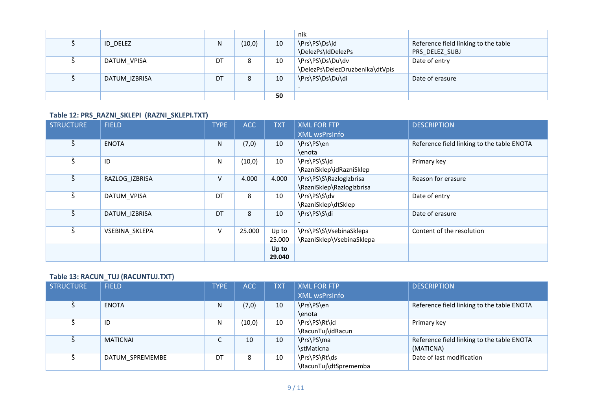|               |    |        |    | nik                             |                                      |
|---------------|----|--------|----|---------------------------------|--------------------------------------|
| ID DELEZ      | N  | (10,0) | 10 | \Prs\PS\Ds\id                   | Reference field linking to the table |
|               |    |        |    | \DelezPs\IdDelezPs              | PRS_DELEZ_SUBJ                       |
| DATUM_VPISA   | DT | 8      | 10 | \Prs\PS\Ds\Du\dv                | Date of entry                        |
|               |    |        |    | \DelezPs\DelezDruzbenika\dtVpis |                                      |
| DATUM IZBRISA | DT | 8      | 10 | \Prs\PS\Ds\Du\di                | Date of erasure                      |
|               |    |        |    |                                 |                                      |
|               |    |        | 50 |                                 |                                      |

#### **Table 12: PRS\_RAZNI\_SKLEPI (RAZNI\_SKLEPI.TXT)**

| <b>STRUCTURE</b> | <b>FIELD</b>   | <b>TYPE</b> | ACC     | <b>TXT</b> | <b>XML FOR FTP</b>        | <b>DESCRIPTION</b>                         |
|------------------|----------------|-------------|---------|------------|---------------------------|--------------------------------------------|
|                  |                |             |         |            | <b>XML wsPrsInfo</b>      |                                            |
| Š                | <b>ENOTA</b>   | N           | (7, 0)  | 10         | \Prs\PS\en                | Reference field linking to the table ENOTA |
|                  |                |             |         |            | \enota                    |                                            |
| Š                | ID             | N           | (10, 0) | 10         | \Prs\PS\S\id              | Primary key                                |
|                  |                |             |         |            | \RazniSklep\idRazniSklep  |                                            |
| Š                | RAZLOG_IZBRISA | V           | 4.000   | 4.000      | \Prs\PS\S\RazlogIzbrisa   | Reason for erasure                         |
|                  |                |             |         |            | \RazniSklep\RazlogIzbrisa |                                            |
| Š                | DATUM_VPISA    | DT          | 8       | 10         | \Prs\PS\S\dv              | Date of entry                              |
|                  |                |             |         |            | \RazniSklep\dtSklep       |                                            |
| Š                | DATUM IZBRISA  | DT          | 8       | 10         | \Prs\PS\S\di              | Date of erasure                            |
|                  |                |             |         |            | $\overline{\phantom{0}}$  |                                            |
| Š                | VSEBINA SKLEPA | V           | 25.000  | Up to      | \Prs\PS\S\VsebinaSklepa   | Content of the resolution                  |
|                  |                |             |         | 25.000     | \RazniSklep\VsebinaSklepa |                                            |
|                  |                |             |         | Up to      |                           |                                            |
|                  |                |             |         | 29.040     |                           |                                            |

### **Table 13: RACUN\_TUJ (RACUNTUJ.TXT)**

| <b>STRUCTURE</b> | <b>FIELD</b>    | <b>TYPE</b>                   | <b>ACC</b> | <b>TXT</b> | <b>XML FOR FTP</b>    | <b>DESCRIPTION</b>                         |
|------------------|-----------------|-------------------------------|------------|------------|-----------------------|--------------------------------------------|
|                  |                 |                               |            |            | <b>XML wsPrsInfo</b>  |                                            |
|                  | <b>ENOTA</b>    | N                             | (7, 0)     | 10         | \Prs\PS\en            | Reference field linking to the table ENOTA |
|                  |                 |                               |            |            | \enota                |                                            |
|                  | ID              | N                             | (10,0)     | 10         | \Prs\PS\Rt\id         | Primary key                                |
|                  |                 |                               |            |            | \RacunTuj\idRacun     |                                            |
|                  | <b>MATICNAI</b> | $\overline{\phantom{0}}$<br>◡ | 10         | 10         | \Prs\PS\ma            | Reference field linking to the table ENOTA |
|                  |                 |                               |            |            | \stMaticna            | (MATICNA)                                  |
|                  | DATUM SPREMEMBE | DT                            | 8          | 10         | \Prs\PS\Rt\ds         | Date of last modification                  |
|                  |                 |                               |            |            | \RacunTuj\dtSprememba |                                            |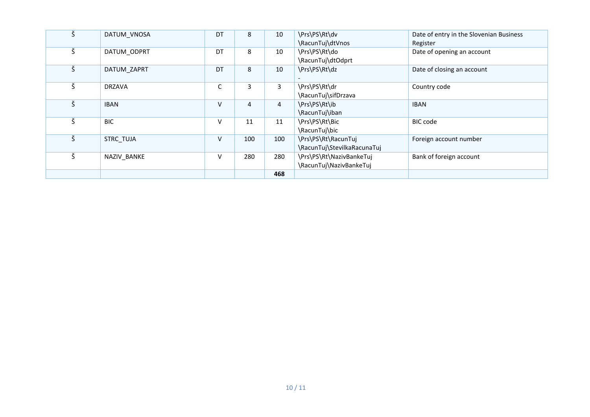| Š | DATUM VNOSA      | DT | 8   | 10  | \Prs\PS\Rt\dv               | Date of entry in the Slovenian Business |
|---|------------------|----|-----|-----|-----------------------------|-----------------------------------------|
|   |                  |    |     |     | \RacunTuj\dtVnos            | Register                                |
| Š | DATUM ODPRT      | DT | 8   | 10  | \Prs\PS\Rt\do               | Date of opening an account              |
|   |                  |    |     |     | \RacunTuj\dtOdprt           |                                         |
| Š | DATUM ZAPRT      | DT | 8   | 10  | \Prs\PS\Rt\dz               | Date of closing an account              |
|   |                  |    |     |     |                             |                                         |
| Š | <b>DRZAVA</b>    | C  | 3   | 3   | \Prs\PS\Rt\dr               | Country code                            |
|   |                  |    |     |     | \RacunTuj\sifDrzava         |                                         |
| Š | <b>IBAN</b>      | V  | 4   | 4   | \Prs\PS\Rt\ib               | <b>IBAN</b>                             |
|   |                  |    |     |     | \RacunTuj\iban              |                                         |
| Š | <b>BIC</b>       | V  | 11  | 11  | \Prs\PS\Rt\Bic              | <b>BIC</b> code                         |
|   |                  |    |     |     | \RacunTuj\bic               |                                         |
| Š | <b>STRC TUJA</b> | V  | 100 | 100 | \Prs\PS\Rt\RacunTuj         | Foreign account number                  |
|   |                  |    |     |     | \RacunTuj\StevilkaRacunaTuj |                                         |
| Š | NAZIV BANKE      | V  | 280 | 280 | \Prs\PS\Rt\NazivBankeTuj    | Bank of foreign account                 |
|   |                  |    |     |     | \RacunTuj\NazivBankeTuj     |                                         |
|   |                  |    |     | 468 |                             |                                         |